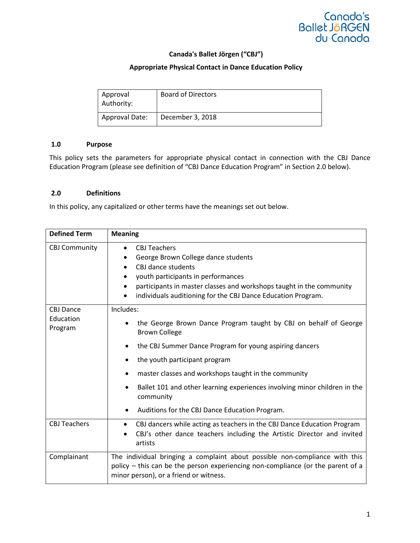

# **Canada's Ballet Jörgen ("CBJ")**

## **Appropriate Physical Contact in Dance Education Policy**

| Approval<br>Authority: | <b>Board of Directors</b> |
|------------------------|---------------------------|
| Approval Date:         | December 3, 2018          |

## **1.0 Purpose**

This policy sets the parameters for appropriate physical contact in connection with the CBJ Dance Education Program (please see definition of "CBJ Dance Education Program" in Section 2.0 below).

## **2.0 Definitions**

In this policy, any capitalized or other terms have the meanings set out below.

| <b>Defined Term</b>                      | <b>Meaning</b>                                                                                                                                                                                                                                                              |
|------------------------------------------|-----------------------------------------------------------------------------------------------------------------------------------------------------------------------------------------------------------------------------------------------------------------------------|
| <b>CBJ Community</b>                     | <b>CBJ Teachers</b><br>$\bullet$<br>George Brown College dance students<br>CBJ dance students<br>youth participants in performances<br>participants in master classes and workshops taught in the community<br>individuals auditioning for the CBJ Dance Education Program. |
| <b>CBJ Dance</b><br>Education<br>Program | Includes:<br>the George Brown Dance Program taught by CBJ on behalf of George<br><b>Brown College</b><br>the CBJ Summer Dance Program for young aspiring dancers<br>$\bullet$<br>the youth participant program<br>٠                                                         |
|                                          | master classes and workshops taught in the community<br>٠<br>Ballet 101 and other learning experiences involving minor children in the<br>٠<br>community<br>Auditions for the CBJ Dance Education Program.                                                                  |
| <b>CBJ Teachers</b>                      | CBJ dancers while acting as teachers in the CBJ Dance Education Program<br>$\bullet$<br>CBJ's other dance teachers including the Artistic Director and invited<br>artists                                                                                                   |
| Complainant                              | The individual bringing a complaint about possible non-compliance with this<br>policy - this can be the person experiencing non-compliance (or the parent of a<br>minor person), or a friend or witness.                                                                    |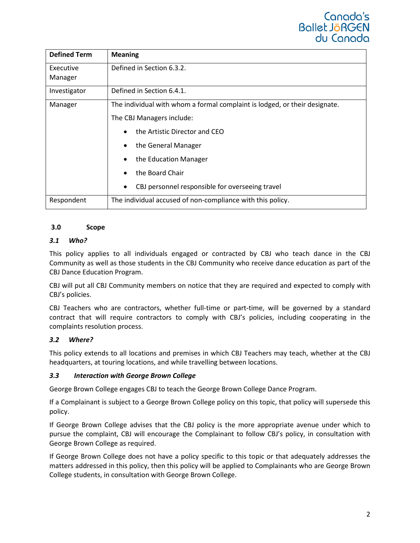

| <b>Defined Term</b> | <b>Meaning</b>                                                             |
|---------------------|----------------------------------------------------------------------------|
| Executive           | Defined in Section 6.3.2.                                                  |
| Manager             |                                                                            |
| Investigator        | Defined in Section 6.4.1.                                                  |
| Manager             | The individual with whom a formal complaint is lodged, or their designate. |
|                     | The CBJ Managers include:                                                  |
|                     | the Artistic Director and CEO<br>$\bullet$                                 |
|                     | the General Manager<br>$\bullet$                                           |
|                     | the Education Manager                                                      |
|                     | the Board Chair<br>$\bullet$                                               |
|                     | CBJ personnel responsible for overseeing travel<br>$\bullet$               |
| Respondent          | The individual accused of non-compliance with this policy.                 |

## **3.0 Scope**

#### *3.1 Who?*

This policy applies to all individuals engaged or contracted by CBJ who teach dance in the CBJ Community as well as those students in the CBJ Community who receive dance education as part of the CBJ Dance Education Program.

CBJ will put all CBJ Community members on notice that they are required and expected to comply with CBJ's policies.

CBJ Teachers who are contractors, whether full-time or part-time, will be governed by a standard contract that will require contractors to comply with CBJ's policies, including cooperating in the complaints resolution process.

#### *3.2 Where?*

This policy extends to all locations and premises in which CBJ Teachers may teach, whether at the CBJ headquarters, at touring locations, and while travelling between locations.

#### *3.3 Interaction with George Brown College*

George Brown College engages CBJ to teach the George Brown College Dance Program.

If a Complainant is subject to a George Brown College policy on this topic, that policy will supersede this policy.

If George Brown College advises that the CBJ policy is the more appropriate avenue under which to pursue the complaint, CBJ will encourage the Complainant to follow CBJ's policy, in consultation with George Brown College as required.

If George Brown College does not have a policy specific to this topic or that adequately addresses the matters addressed in this policy, then this policy will be applied to Complainants who are George Brown College students, in consultation with George Brown College.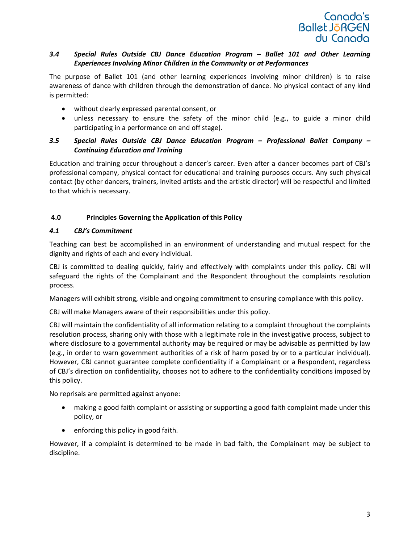

# *3.4 Special Rules Outside CBJ Dance Education Program – Ballet 101 and Other Learning Experiences Involving Minor Children in the Community or at Performances*

The purpose of Ballet 101 (and other learning experiences involving minor children) is to raise awareness of dance with children through the demonstration of dance. No physical contact of any kind is permitted:

- without clearly expressed parental consent, or
- unless necessary to ensure the safety of the minor child (e.g., to guide a minor child participating in a performance on and off stage).

# *3.5 Special Rules Outside CBJ Dance Education Program – Professional Ballet Company – Continuing Education and Training*

Education and training occur throughout a dancer's career. Even after a dancer becomes part of CBJ's professional company, physical contact for educational and training purposes occurs. Any such physical contact (by other dancers, trainers, invited artists and the artistic director) will be respectful and limited to that which is necessary.

# **4.0 Principles Governing the Application of this Policy**

## *4.1 CBJ's Commitment*

Teaching can best be accomplished in an environment of understanding and mutual respect for the dignity and rights of each and every individual.

CBJ is committed to dealing quickly, fairly and effectively with complaints under this policy. CBJ will safeguard the rights of the Complainant and the Respondent throughout the complaints resolution process.

Managers will exhibit strong, visible and ongoing commitment to ensuring compliance with this policy.

CBJ will make Managers aware of their responsibilities under this policy.

CBJ will maintain the confidentiality of all information relating to a complaint throughout the complaints resolution process, sharing only with those with a legitimate role in the investigative process, subject to where disclosure to a governmental authority may be required or may be advisable as permitted by law (e.g., in order to warn government authorities of a risk of harm posed by or to a particular individual). However, CBJ cannot guarantee complete confidentiality if a Complainant or a Respondent, regardless of CBJ's direction on confidentiality, chooses not to adhere to the confidentiality conditions imposed by this policy.

No reprisals are permitted against anyone:

- making a good faith complaint or assisting or supporting a good faith complaint made under this policy, or
- enforcing this policy in good faith.

However, if a complaint is determined to be made in bad faith, the Complainant may be subject to discipline.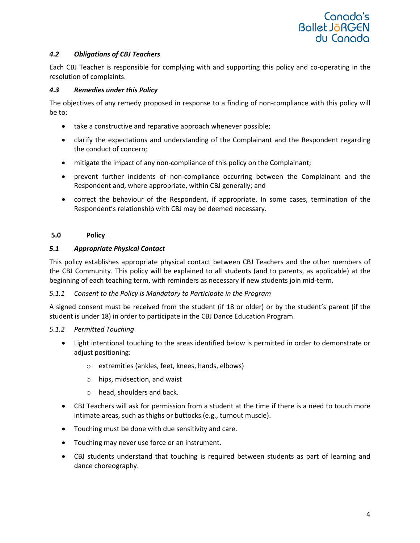

## *4.2 Obligations of CBJ Teachers*

Each CBJ Teacher is responsible for complying with and supporting this policy and co-operating in the resolution of complaints.

#### *4.3 Remedies under this Policy*

The objectives of any remedy proposed in response to a finding of non-compliance with this policy will be to:

- take a constructive and reparative approach whenever possible;
- clarify the expectations and understanding of the Complainant and the Respondent regarding the conduct of concern;
- mitigate the impact of any non-compliance of this policy on the Complainant;
- prevent further incidents of non-compliance occurring between the Complainant and the Respondent and, where appropriate, within CBJ generally; and
- correct the behaviour of the Respondent, if appropriate. In some cases, termination of the Respondent's relationship with CBJ may be deemed necessary.

## **5.0 Policy**

## *5.1 Appropriate Physical Contact*

This policy establishes appropriate physical contact between CBJ Teachers and the other members of the CBJ Community. This policy will be explained to all students (and to parents, as applicable) at the beginning of each teaching term, with reminders as necessary if new students join mid-term.

## *5.1.1 Consent to the Policy is Mandatory to Participate in the Program*

A signed consent must be received from the student (if 18 or older) or by the student's parent (if the student is under 18) in order to participate in the CBJ Dance Education Program.

## *5.1.2 Permitted Touching*

- Light intentional touching to the areas identified below is permitted in order to demonstrate or adjust positioning:
	- o extremities (ankles, feet, knees, hands, elbows)
	- o hips, midsection, and waist
	- o head, shoulders and back.
- CBJ Teachers will ask for permission from a student at the time if there is a need to touch more intimate areas, such as thighs or buttocks (e.g., turnout muscle).
- Touching must be done with due sensitivity and care.
- Touching may never use force or an instrument.
- CBJ students understand that touching is required between students as part of learning and dance choreography.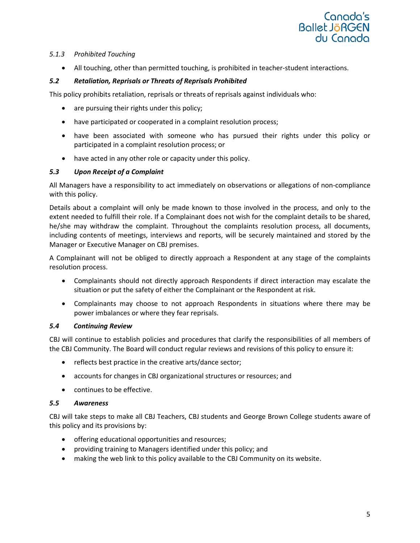

## *5.1.3 Prohibited Touching*

• All touching, other than permitted touching, is prohibited in teacher-student interactions.

# *5.2 Retaliation, Reprisals or Threats of Reprisals Prohibited*

This policy prohibits retaliation, reprisals or threats of reprisals against individuals who:

- are pursuing their rights under this policy;
- have participated or cooperated in a complaint resolution process;
- have been associated with someone who has pursued their rights under this policy or participated in a complaint resolution process; or
- have acted in any other role or capacity under this policy.

# *5.3 Upon Receipt of a Complaint*

All Managers have a responsibility to act immediately on observations or allegations of non-compliance with this policy.

Details about a complaint will only be made known to those involved in the process, and only to the extent needed to fulfill their role. If a Complainant does not wish for the complaint details to be shared, he/she may withdraw the complaint. Throughout the complaints resolution process, all documents, including contents of meetings, interviews and reports, will be securely maintained and stored by the Manager or Executive Manager on CBJ premises.

A Complainant will not be obliged to directly approach a Respondent at any stage of the complaints resolution process.

- Complainants should not directly approach Respondents if direct interaction may escalate the situation or put the safety of either the Complainant or the Respondent at risk.
- Complainants may choose to not approach Respondents in situations where there may be power imbalances or where they fear reprisals.

# *5.4 Continuing Review*

CBJ will continue to establish policies and procedures that clarify the responsibilities of all members of the CBJ Community. The Board will conduct regular reviews and revisions of this policy to ensure it:

- reflects best practice in the creative arts/dance sector;
- accounts for changes in CBJ organizational structures or resources; and
- continues to be effective.

## *5.5 Awareness*

CBJ will take steps to make all CBJ Teachers, CBJ students and George Brown College students aware of this policy and its provisions by:

- offering educational opportunities and resources;
- providing training to Managers identified under this policy; and
- making the web link to this policy available to the CBJ Community on its website.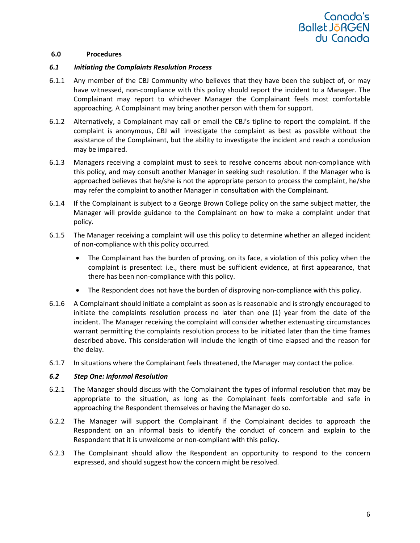

#### **6.0 Procedures**

#### *6.1 Initiating the Complaints Resolution Process*

- 6.1.1 Any member of the CBJ Community who believes that they have been the subject of, or may have witnessed, non-compliance with this policy should report the incident to a Manager. The Complainant may report to whichever Manager the Complainant feels most comfortable approaching. A Complainant may bring another person with them for support.
- 6.1.2 Alternatively, a Complainant may call or email the CBJ's tipline to report the complaint. If the complaint is anonymous, CBJ will investigate the complaint as best as possible without the assistance of the Complainant, but the ability to investigate the incident and reach a conclusion may be impaired.
- 6.1.3 Managers receiving a complaint must to seek to resolve concerns about non-compliance with this policy, and may consult another Manager in seeking such resolution. If the Manager who is approached believes that he/she is not the appropriate person to process the complaint, he/she may refer the complaint to another Manager in consultation with the Complainant.
- 6.1.4 If the Complainant is subject to a George Brown College policy on the same subject matter, the Manager will provide guidance to the Complainant on how to make a complaint under that policy.
- 6.1.5 The Manager receiving a complaint will use this policy to determine whether an alleged incident of non-compliance with this policy occurred.
	- The Complainant has the burden of proving, on its face, a violation of this policy when the complaint is presented: i.e., there must be sufficient evidence, at first appearance, that there has been non-compliance with this policy.
	- The Respondent does not have the burden of disproving non-compliance with this policy.
- 6.1.6 A Complainant should initiate a complaint as soon as is reasonable and is strongly encouraged to initiate the complaints resolution process no later than one (1) year from the date of the incident. The Manager receiving the complaint will consider whether extenuating circumstances warrant permitting the complaints resolution process to be initiated later than the time frames described above. This consideration will include the length of time elapsed and the reason for the delay.
- 6.1.7 In situations where the Complainant feels threatened, the Manager may contact the police.

## *6.2 Step One: Informal Resolution*

- 6.2.1 The Manager should discuss with the Complainant the types of informal resolution that may be appropriate to the situation, as long as the Complainant feels comfortable and safe in approaching the Respondent themselves or having the Manager do so.
- 6.2.2 The Manager will support the Complainant if the Complainant decides to approach the Respondent on an informal basis to identify the conduct of concern and explain to the Respondent that it is unwelcome or non-compliant with this policy.
- 6.2.3 The Complainant should allow the Respondent an opportunity to respond to the concern expressed, and should suggest how the concern might be resolved.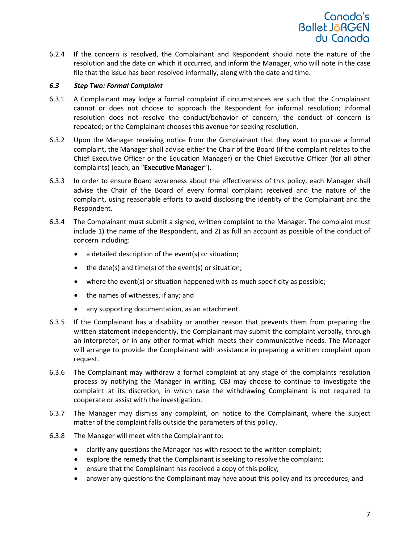

6.2.4 If the concern is resolved, the Complainant and Respondent should note the nature of the resolution and the date on which it occurred, and inform the Manager, who will note in the case file that the issue has been resolved informally, along with the date and time.

#### *6.3 Step Two: Formal Complaint*

- 6.3.1 A Complainant may lodge a formal complaint if circumstances are such that the Complainant cannot or does not choose to approach the Respondent for informal resolution; informal resolution does not resolve the conduct/behavior of concern; the conduct of concern is repeated; or the Complainant chooses this avenue for seeking resolution.
- 6.3.2 Upon the Manager receiving notice from the Complainant that they want to pursue a formal complaint, the Manager shall advise either the Chair of the Board (if the complaint relates to the Chief Executive Officer or the Education Manager) or the Chief Executive Officer (for all other complaints) (each, an "**Executive Manager**").
- 6.3.3 In order to ensure Board awareness about the effectiveness of this policy, each Manager shall advise the Chair of the Board of every formal complaint received and the nature of the complaint, using reasonable efforts to avoid disclosing the identity of the Complainant and the Respondent.
- 6.3.4 The Complainant must submit a signed, written complaint to the Manager. The complaint must include 1) the name of the Respondent, and 2) as full an account as possible of the conduct of concern including:
	- a detailed description of the event(s) or situation;
	- the date(s) and time(s) of the event(s) or situation;
	- where the event(s) or situation happened with as much specificity as possible;
	- the names of witnesses, if any; and
	- any supporting documentation, as an attachment.
- 6.3.5 If the Complainant has a disability or another reason that prevents them from preparing the written statement independently, the Complainant may submit the complaint verbally, through an interpreter, or in any other format which meets their communicative needs. The Manager will arrange to provide the Complainant with assistance in preparing a written complaint upon request.
- 6.3.6 The Complainant may withdraw a formal complaint at any stage of the complaints resolution process by notifying the Manager in writing. CBJ may choose to continue to investigate the complaint at its discretion, in which case the withdrawing Complainant is not required to cooperate or assist with the investigation.
- 6.3.7 The Manager may dismiss any complaint, on notice to the Complainant, where the subject matter of the complaint falls outside the parameters of this policy.
- 6.3.8 The Manager will meet with the Complainant to:
	- clarify any questions the Manager has with respect to the written complaint;
	- explore the remedy that the Complainant is seeking to resolve the complaint;
	- ensure that the Complainant has received a copy of this policy;
	- answer any questions the Complainant may have about this policy and its procedures; and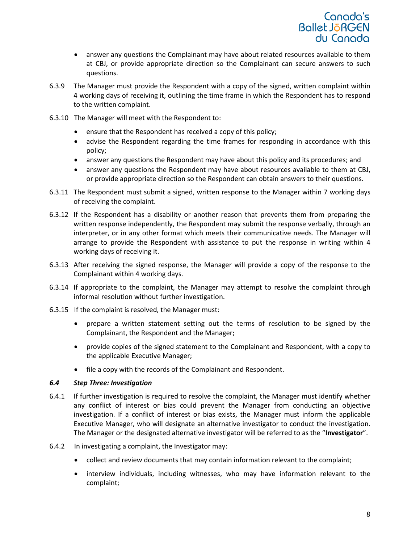

- answer any questions the Complainant may have about related resources available to them at CBJ, or provide appropriate direction so the Complainant can secure answers to such questions.
- 6.3.9 The Manager must provide the Respondent with a copy of the signed, written complaint within 4 working days of receiving it, outlining the time frame in which the Respondent has to respond to the written complaint.
- 6.3.10 The Manager will meet with the Respondent to:
	- ensure that the Respondent has received a copy of this policy;
	- advise the Respondent regarding the time frames for responding in accordance with this policy;
	- answer any questions the Respondent may have about this policy and its procedures; and
	- answer any questions the Respondent may have about resources available to them at CBJ, or provide appropriate direction so the Respondent can obtain answers to their questions.
- 6.3.11 The Respondent must submit a signed, written response to the Manager within 7 working days of receiving the complaint.
- 6.3.12 If the Respondent has a disability or another reason that prevents them from preparing the written response independently, the Respondent may submit the response verbally, through an interpreter, or in any other format which meets their communicative needs. The Manager will arrange to provide the Respondent with assistance to put the response in writing within 4 working days of receiving it.
- 6.3.13 After receiving the signed response, the Manager will provide a copy of the response to the Complainant within 4 working days.
- 6.3.14 If appropriate to the complaint, the Manager may attempt to resolve the complaint through informal resolution without further investigation.
- 6.3.15 If the complaint is resolved, the Manager must:
	- prepare a written statement setting out the terms of resolution to be signed by the Complainant, the Respondent and the Manager;
	- provide copies of the signed statement to the Complainant and Respondent, with a copy to the applicable Executive Manager;
	- file a copy with the records of the Complainant and Respondent.

#### *6.4 Step Three: Investigation*

- 6.4.1 If further investigation is required to resolve the complaint, the Manager must identify whether any conflict of interest or bias could prevent the Manager from conducting an objective investigation. If a conflict of interest or bias exists, the Manager must inform the applicable Executive Manager, who will designate an alternative investigator to conduct the investigation. The Manager or the designated alternative investigator will be referred to as the "**Investigator**".
- 6.4.2 In investigating a complaint, the Investigator may:
	- collect and review documents that may contain information relevant to the complaint;
	- interview individuals, including witnesses, who may have information relevant to the complaint;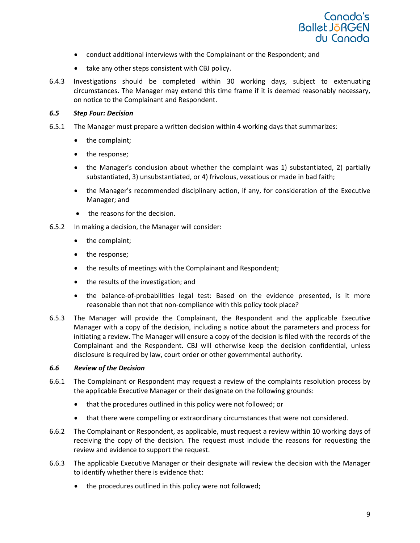

- conduct additional interviews with the Complainant or the Respondent; and
- take any other steps consistent with CBJ policy.
- 6.4.3 Investigations should be completed within 30 working days, subject to extenuating circumstances. The Manager may extend this time frame if it is deemed reasonably necessary, on notice to the Complainant and Respondent.

#### *6.5 Step Four: Decision*

- 6.5.1 The Manager must prepare a written decision within 4 working days that summarizes:
	- the complaint;
	- the response;
	- the Manager's conclusion about whether the complaint was 1) substantiated, 2) partially substantiated, 3) unsubstantiated, or 4) frivolous, vexatious or made in bad faith;
	- the Manager's recommended disciplinary action, if any, for consideration of the Executive Manager; and
	- the reasons for the decision.
- 6.5.2 In making a decision, the Manager will consider:
	- the complaint;
	- the response;
	- the results of meetings with the Complainant and Respondent;
	- the results of the investigation; and
	- the balance-of-probabilities legal test: Based on the evidence presented, is it more reasonable than not that non-compliance with this policy took place?
- 6.5.3 The Manager will provide the Complainant, the Respondent and the applicable Executive Manager with a copy of the decision, including a notice about the parameters and process for initiating a review. The Manager will ensure a copy of the decision is filed with the records of the Complainant and the Respondent. CBJ will otherwise keep the decision confidential, unless disclosure is required by law, court order or other governmental authority.

## *6.6 Review of the Decision*

- 6.6.1 The Complainant or Respondent may request a review of the complaints resolution process by the applicable Executive Manager or their designate on the following grounds:
	- that the procedures outlined in this policy were not followed; or
	- that there were compelling or extraordinary circumstances that were not considered.
- 6.6.2 The Complainant or Respondent, as applicable, must request a review within 10 working days of receiving the copy of the decision. The request must include the reasons for requesting the review and evidence to support the request.
- 6.6.3 The applicable Executive Manager or their designate will review the decision with the Manager to identify whether there is evidence that:
	- the procedures outlined in this policy were not followed;